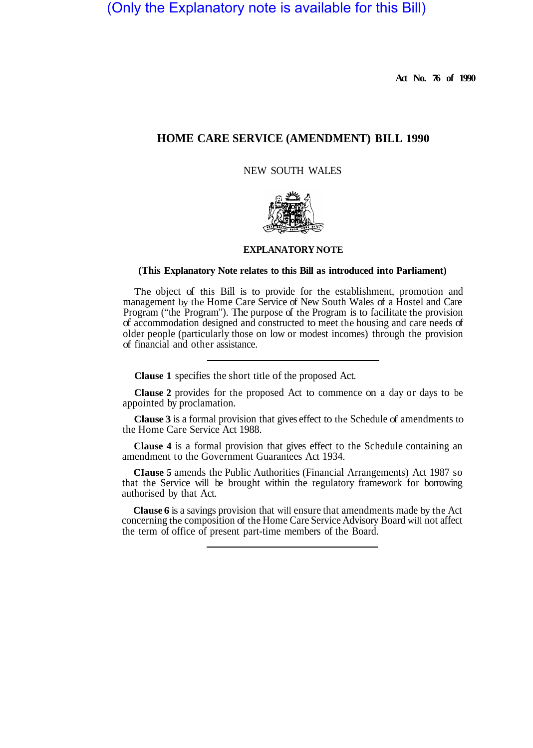(Only the Explanatory note is available for this Bill)

**Act No. 76 of 1990** 

# **HOME CARE SERVICE (AMENDMENT) BILL 1990**

NEW SOUTH WALES



## **EXPLANATORY NOTE**

#### **(This Explanatory Note relates to this Bill as introduced into Parliament)**

The object of this Bill is to provide for the establishment, promotion and management by the Home Care Service of New South Wales of a Hostel and Care Program ("the Program"). The purpose of the Program is to facilitate the provision of accommodation designed and constructed to meet the housing and care needs of older people (particularly those on low or modest incomes) through the provision of financial and other assistance.

**Clause 1** specifies the short title of the proposed Act.

**Clause 2** provides for the proposed Act to commence on a day or days to be appointed by proclamation.

**Clause 3** is a formal provision that gives effect to the Schedule of amendments to the Home Care Service Act 1988.

**Clause 4** is a formal provision that gives effect to the Schedule containing an amendment to the Government Guarantees Act 1934.

**CIause 5** amends the Public Authorities (Financial Arrangements) Act 1987 so that the Service will be brought within the regulatory framework for borrowing authorised by that Act.

**Clause 6** is a savings provision that will ensure that amendments made by the Act concerning the composition of the Home Care Service Advisory Board will not affect the term of office of present part-time members of the Board.